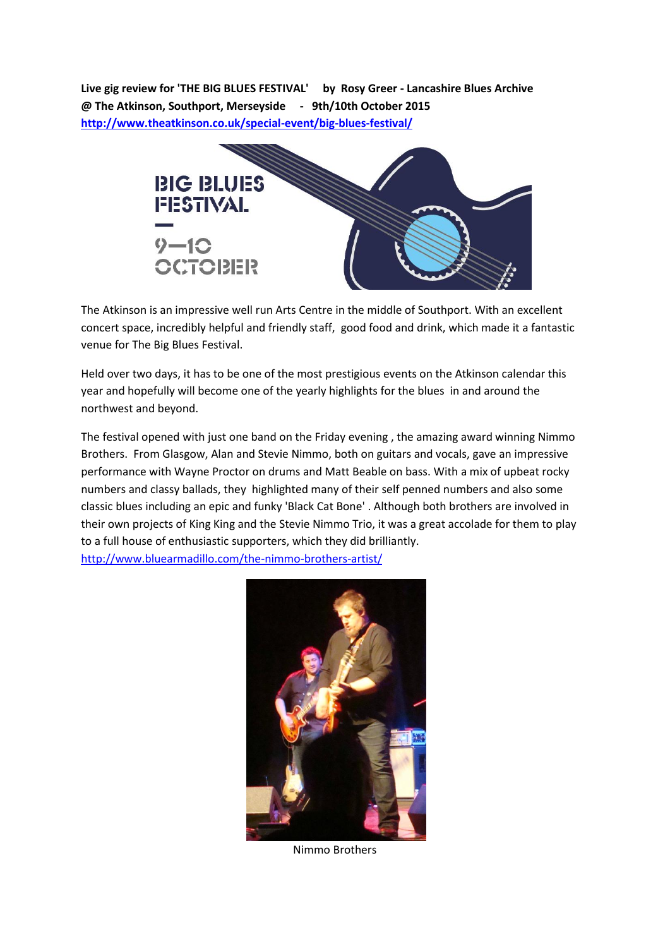**Live gig review for 'THE BIG BLUES FESTIVAL' by Rosy Greer - Lancashire Blues Archive @ The Atkinson, Southport, Merseyside - 9th/10th October 2015 <http://www.theatkinson.co.uk/special-event/big-blues-festival/>**



The Atkinson is an impressive well run Arts Centre in the middle of Southport. With an excellent concert space, incredibly helpful and friendly staff, good food and drink, which made it a fantastic venue for The Big Blues Festival.

Held over two days, it has to be one of the most prestigious events on the Atkinson calendar this year and hopefully will become one of the yearly highlights for the blues in and around the northwest and beyond.

The festival opened with just one band on the Friday evening , the amazing award winning Nimmo Brothers. From Glasgow, Alan and Stevie Nimmo, both on guitars and vocals, gave an impressive performance with Wayne Proctor on drums and Matt Beable on bass. With a mix of upbeat rocky numbers and classy ballads, they highlighted many of their self penned numbers and also some classic blues including an epic and funky 'Black Cat Bone' . Although both brothers are involved in their own projects of King King and the Stevie Nimmo Trio, it was a great accolade for them to play to a full house of enthusiastic supporters, which they did brilliantly. <http://www.bluearmadillo.com/the-nimmo-brothers-artist/>



Nimmo Brothers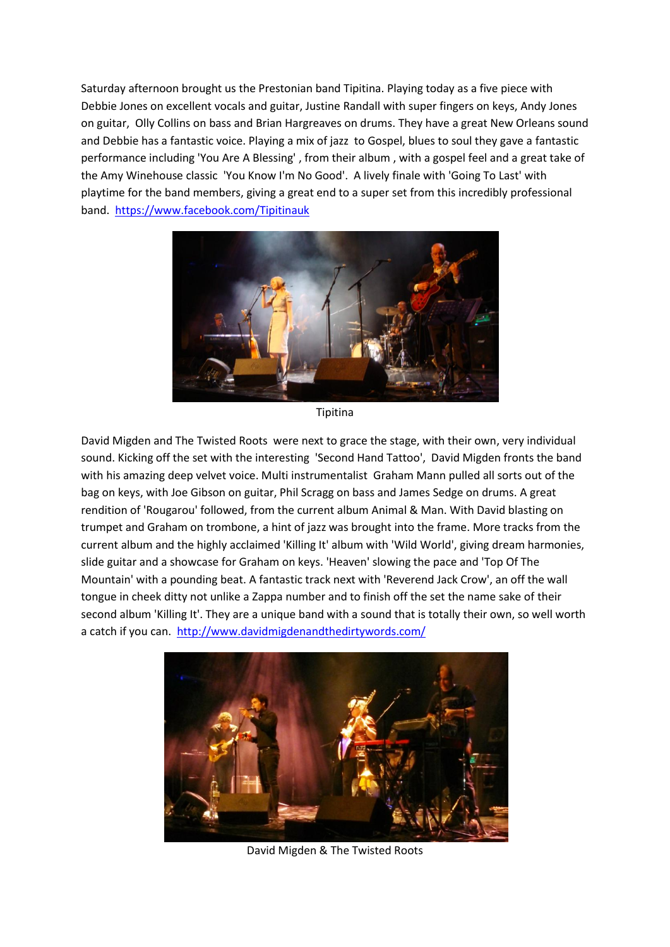Saturday afternoon brought us the Prestonian band Tipitina. Playing today as a five piece with Debbie Jones on excellent vocals and guitar, Justine Randall with super fingers on keys, Andy Jones on guitar, Olly Collins on bass and Brian Hargreaves on drums. They have a great New Orleans sound and Debbie has a fantastic voice. Playing a mix of jazz to Gospel, blues to soul they gave a fantastic performance including 'You Are A Blessing' , from their album , with a gospel feel and a great take of the Amy Winehouse classic 'You Know I'm No Good'. A lively finale with 'Going To Last' with playtime for the band members, giving a great end to a super set from this incredibly professional band. <https://www.facebook.com/Tipitinauk>



Tipitina

David Migden and The Twisted Roots were next to grace the stage, with their own, very individual sound. Kicking off the set with the interesting 'Second Hand Tattoo', David Migden fronts the band with his amazing deep velvet voice. Multi instrumentalist Graham Mann pulled all sorts out of the bag on keys, with Joe Gibson on guitar, Phil Scragg on bass and James Sedge on drums. A great rendition of 'Rougarou' followed, from the current album Animal & Man. With David blasting on trumpet and Graham on trombone, a hint of jazz was brought into the frame. More tracks from the current album and the highly acclaimed 'Killing It' album with 'Wild World', giving dream harmonies, slide guitar and a showcase for Graham on keys. 'Heaven' slowing the pace and 'Top Of The Mountain' with a pounding beat. A fantastic track next with 'Reverend Jack Crow', an off the wall tongue in cheek ditty not unlike a Zappa number and to finish off the set the name sake of their second album 'Killing It'. They are a unique band with a sound that is totally their own, so well worth a catch if you can. <http://www.davidmigdenandthedirtywords.com/>



David Migden & The Twisted Roots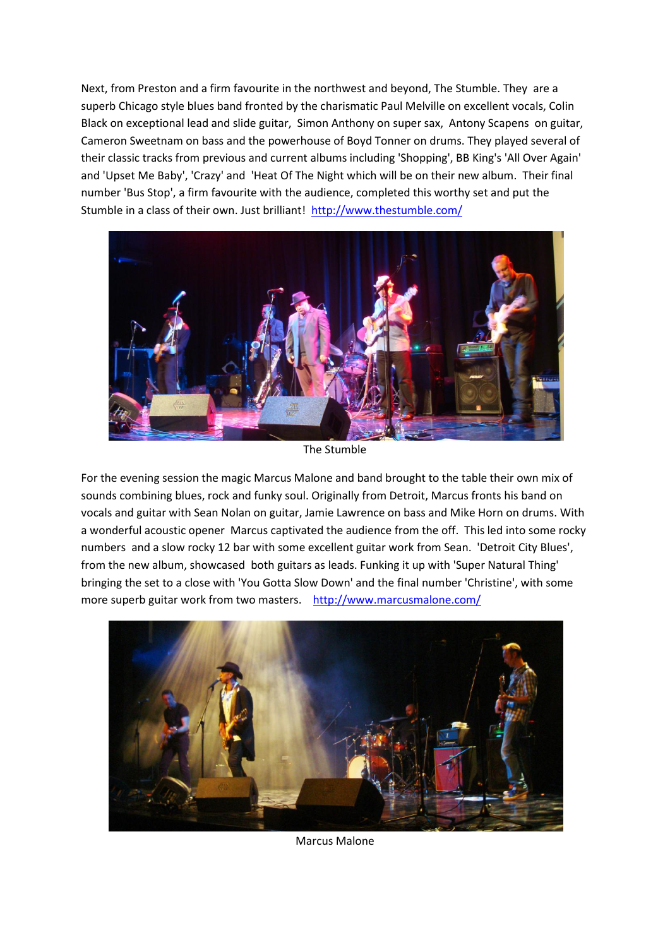Next, from Preston and a firm favourite in the northwest and beyond, The Stumble. They are a superb Chicago style blues band fronted by the charismatic Paul Melville on excellent vocals, Colin Black on exceptional lead and slide guitar, Simon Anthony on super sax, Antony Scapens on guitar, Cameron Sweetnam on bass and the powerhouse of Boyd Tonner on drums. They played several of their classic tracks from previous and current albums including 'Shopping', BB King's 'All Over Again' and 'Upset Me Baby', 'Crazy' and 'Heat Of The Night which will be on their new album. Their final number 'Bus Stop', a firm favourite with the audience, completed this worthy set and put the Stumble in a class of their own. Just brilliant!<http://www.thestumble.com/>



The Stumble

For the evening session the magic Marcus Malone and band brought to the table their own mix of sounds combining blues, rock and funky soul. Originally from Detroit, Marcus fronts his band on vocals and guitar with Sean Nolan on guitar, Jamie Lawrence on bass and Mike Horn on drums. With a wonderful acoustic opener Marcus captivated the audience from the off. This led into some rocky numbers and a slow rocky 12 bar with some excellent guitar work from Sean. 'Detroit City Blues', from the new album, showcased both guitars as leads. Funking it up with 'Super Natural Thing' bringing the set to a close with 'You Gotta Slow Down' and the final number 'Christine', with some more superb guitar work from two masters. <http://www.marcusmalone.com/>



Marcus Malone